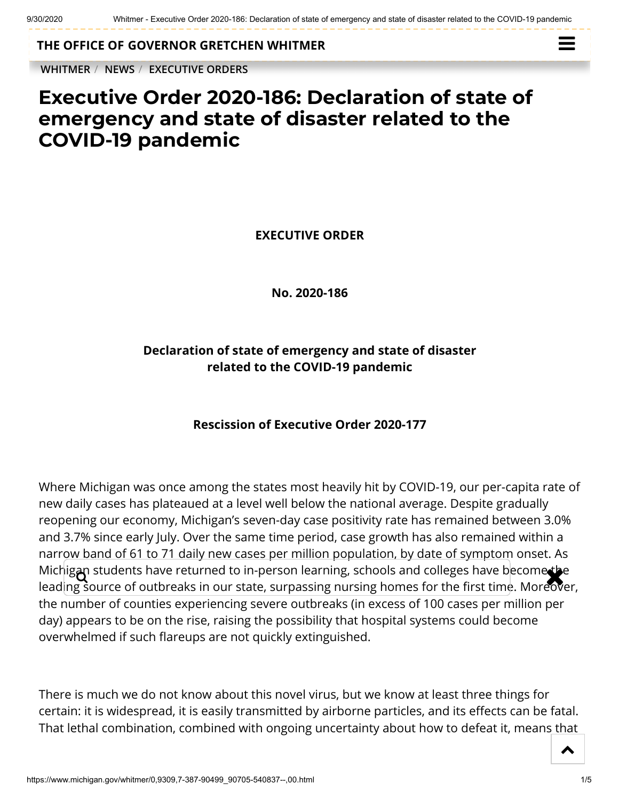**THE OFFICE OF [GOVERNOR GRETCHEN WHITMER](https://www.michigan.gov/whitmer/)**

**[WHITMER](https://www.michigan.gov/whitmer/)** / **[NEWS](https://www.michigan.gov/whitmer/0,9309,7-387-90499---,00.html)** / **[EXECUTIVE ORDERS](https://www.michigan.gov/whitmer/0,9309,7-387-90499_90705---,00.html)**



## **Executive Order 2020-186: Declaration of state of emergency and state of disaster related to the COVID-19 pandemic**

**EXECUTIVE ORDER**

**No. 2020-186**

## **Declaration of state of emergency and state of disaster related to the COVID-19 pandemic**

## **Rescission of Executive Order 2020-177**

Where Michigan was once among the states most heavily hit by COVID-19, our per-capita rate of new daily cases has plateaued at a level well below the national average. Despite gradually reopening our economy, Michigan's seven-day case positivity rate has remained between 3.0% and 3.7% since early July. Over the same time period, case growth has also remained within a narrow band of 61 to 71 daily new cases per million population, by date of symptom onset. As Michig**an** students have returned to in-person learning, schools and colleges have become the<br>leading source of outbreaks in our state, surpassing pursing homes for the first time. Moreover leading source of outbreaks in our state, surpassing nursing homes for the first time. Moreover, the number of counties experiencing severe outbreaks (in excess of 100 cases per million per day) appears to be on the rise, raising the possibility that hospital systems could become overwhelmed if such flareups are not quickly extinguished.

There is much we do not know about this novel virus, but we know at least three things for certain: it is widespread, it is easily transmitted by airborne particles, and its effects can be fatal. That lethal combination, combined with ongoing uncertainty about how to defeat it, means that

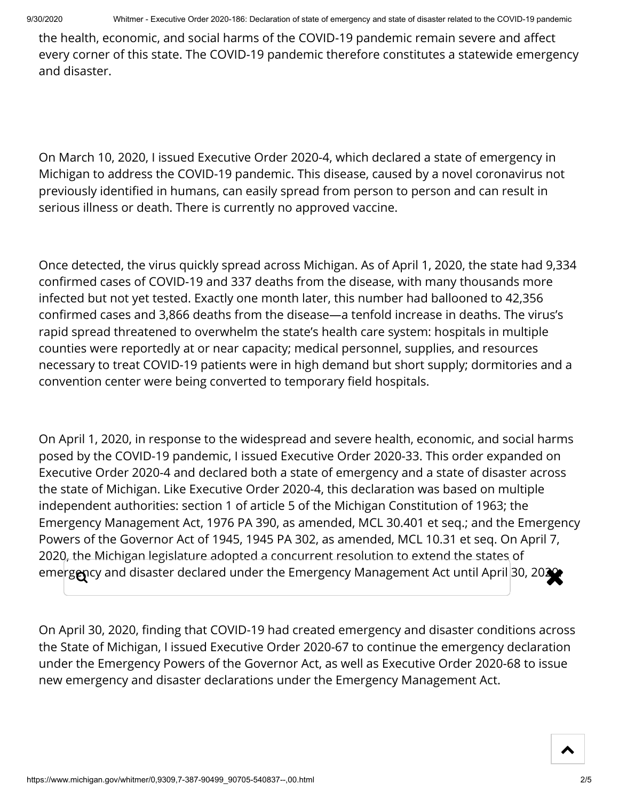the health, economic, and social harms of the COVID-19 pandemic remain severe and affect every corner of this state. The COVID-19 pandemic therefore constitutes a statewide emergency and disaster.

On March 10, 2020, I issued Executive Order 2020-4, which declared a state of emergency in Michigan to address the COVID-19 pandemic. This disease, caused by a novel coronavirus not previously identified in humans, can easily spread from person to person and can result in serious illness or death. There is currently no approved vaccine.

Once detected, the virus quickly spread across Michigan. As of April 1, 2020, the state had 9,334 confirmed cases of COVID-19 and 337 deaths from the disease, with many thousands more infected but not yet tested. Exactly one month later, this number had ballooned to 42,356 confirmed cases and 3,866 deaths from the disease—a tenfold increase in deaths. The virus's rapid spread threatened to overwhelm the state's health care system: hospitals in multiple counties were reportedly at or near capacity; medical personnel, supplies, and resources necessary to treat COVID-19 patients were in high demand but short supply; dormitories and a convention center were being converted to temporary field hospitals.

On April 1, 2020, in response to the widespread and severe health, economic, and social harms posed by the COVID-19 pandemic, I issued Executive Order 2020-33. This order expanded on Executive Order 2020-4 and declared both a state of emergency and a state of disaster across the state of Michigan. Like Executive Order 2020-4, this declaration was based on multiple independent authorities: section 1 of article 5 of the Michigan Constitution of 1963; the Emergency Management Act, 1976 PA 390, as amended, MCL 30.401 et seq.; and the Emergency Powers of the Governor Act of 1945, 1945 PA 302, as amended, MCL 10.31 et seq. On April 7, 2020, the Michigan legislature adopted a concurrent resolution to extend the states of emerg $\alpha$ cy and disaster declared under the Emergency Management Act until April 30, 202 $\alpha$ 

On April 30, 2020, finding that COVID-19 had created emergency and disaster conditions across the State of Michigan, I issued Executive Order 2020-67 to continue the emergency declaration under the Emergency Powers of the Governor Act, as well as Executive Order 2020-68 to issue new emergency and disaster declarations under the Emergency Management Act.

 $\blacktriangle$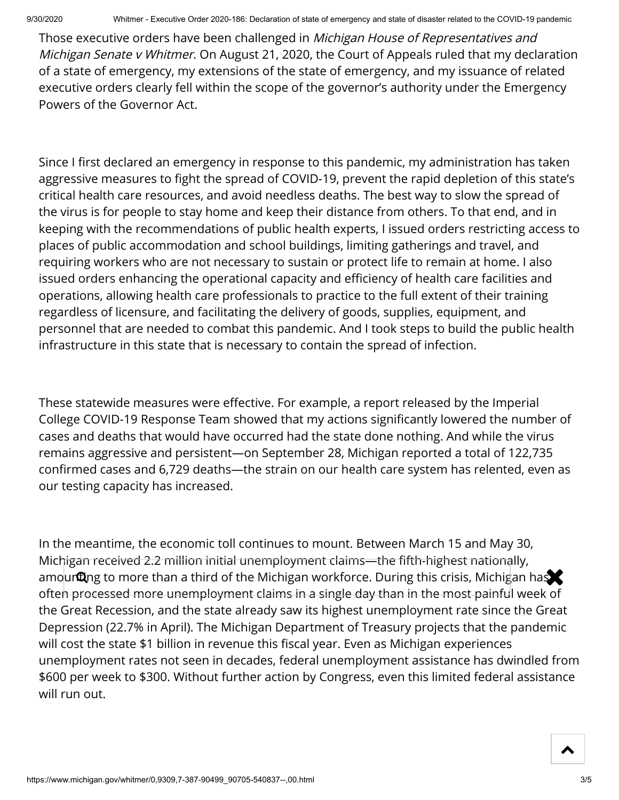Those executive orders have been challenged in *Michigan House of Representatives and* Michigan Senate v Whitmer. On August 21, 2020, the Court of Appeals ruled that my declaration of a state of emergency, my extensions of the state of emergency, and my issuance of related executive orders clearly fell within the scope of the governor's authority under the Emergency Powers of the Governor Act.

Since I first declared an emergency in response to this pandemic, my administration has taken aggressive measures to fight the spread of COVID-19, prevent the rapid depletion of this state's critical health care resources, and avoid needless deaths. The best way to slow the spread of the virus is for people to stay home and keep their distance from others. To that end, and in keeping with the recommendations of public health experts, I issued orders restricting access to places of public accommodation and school buildings, limiting gatherings and travel, and requiring workers who are not necessary to sustain or protect life to remain at home. I also issued orders enhancing the operational capacity and efficiency of health care facilities and operations, allowing health care professionals to practice to the full extent of their training regardless of licensure, and facilitating the delivery of goods, supplies, equipment, and personnel that are needed to combat this pandemic. And I took steps to build the public health infrastructure in this state that is necessary to contain the spread of infection.

These statewide measures were effective. For example, a report released by the Imperial College COVID-19 Response Team showed that my actions signicantly lowered the number of cases and deaths that would have occurred had the state done nothing. And while the virus remains aggressive and persistent—on September 28, Michigan reported a total of 122,735 confirmed cases and 6,729 deaths—the strain on our health care system has relented, even as our testing capacity has increased.

In the meantime, the economic toll continues to mount. Between March 15 and May 30, Michigan received 2.2 million initial unemployment claims—the fifth-highest nationally, amourting to more than a third of the Michigan workforce. During this crisis, Michigan has often processed more unemployment claims in a single day than in the most painful week of the Great Recession, and the state already saw its highest unemployment rate since the Great Depression (22.7% in April). The Michigan Department of Treasury projects that the pandemic will cost the state \$1 billion in revenue this fiscal year. Even as Michigan experiences unemployment rates not seen in decades, federal unemployment assistance has dwindled from \$600 per week to \$300. Without further action by Congress, even this limited federal assistance will run out.

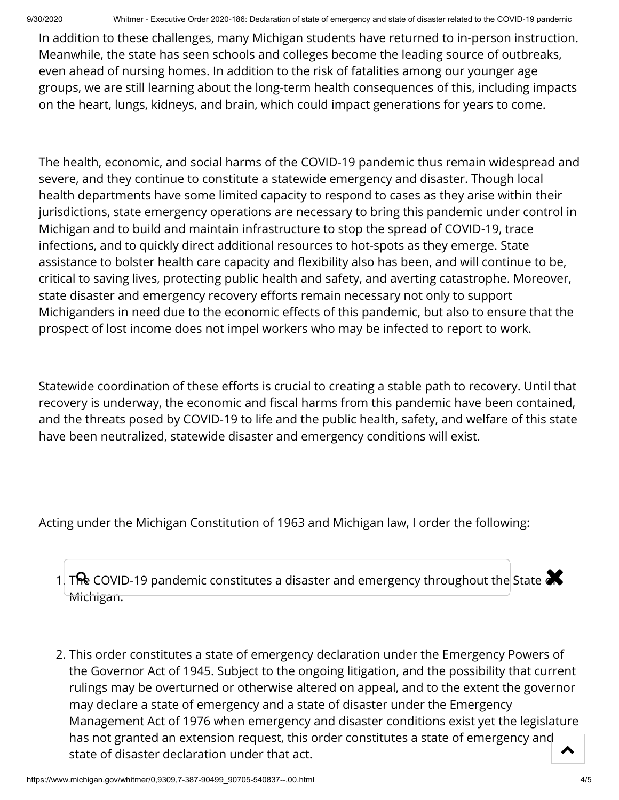9/30/2020 Whitmer - Executive Order 2020-186: Declaration of state of emergency and state of disaster related to the COVID-19 pandemic

In addition to these challenges, many Michigan students have returned to in-person instruction. Meanwhile, the state has seen schools and colleges become the leading source of outbreaks, even ahead of nursing homes. In addition to the risk of fatalities among our younger age groups, we are still learning about the long-term health consequences of this, including impacts on the heart, lungs, kidneys, and brain, which could impact generations for years to come.

The health, economic, and social harms of the COVID-19 pandemic thus remain widespread and severe, and they continue to constitute a statewide emergency and disaster. Though local health departments have some limited capacity to respond to cases as they arise within their jurisdictions, state emergency operations are necessary to bring this pandemic under control in Michigan and to build and maintain infrastructure to stop the spread of COVID-19, trace infections, and to quickly direct additional resources to hot-spots as they emerge. State assistance to bolster health care capacity and flexibility also has been, and will continue to be, critical to saving lives, protecting public health and safety, and averting catastrophe. Moreover, state disaster and emergency recovery efforts remain necessary not only to support Michiganders in need due to the economic effects of this pandemic, but also to ensure that the prospect of lost income does not impel workers who may be infected to report to work.

Statewide coordination of these efforts is crucial to creating a stable path to recovery. Until that recovery is underway, the economic and fiscal harms from this pandemic have been contained, and the threats posed by COVID-19 to life and the public health, safety, and welfare of this state have been neutralized, statewide disaster and emergency conditions will exist.

Acting under the Michigan Constitution of 1963 and Michigan law, I order the following:

1. The COVID-19 pandemic constitutes a disaster and emergency throughout the State  $\blacktriangleright$ Michigan.

2. This order constitutes a state of emergency declaration under the Emergency Powers of the Governor Act of 1945. Subject to the ongoing litigation, and the possibility that current rulings may be overturned or otherwise altered on appeal, and to the extent the governor may declare a state of emergency and a state of disaster under the Emergency Management Act of 1976 when emergency and disaster conditions exist yet the legislature has not granted an extension request, this order constitutes a state of emergency and state of disaster declaration under that act.  $\blacktriangle$